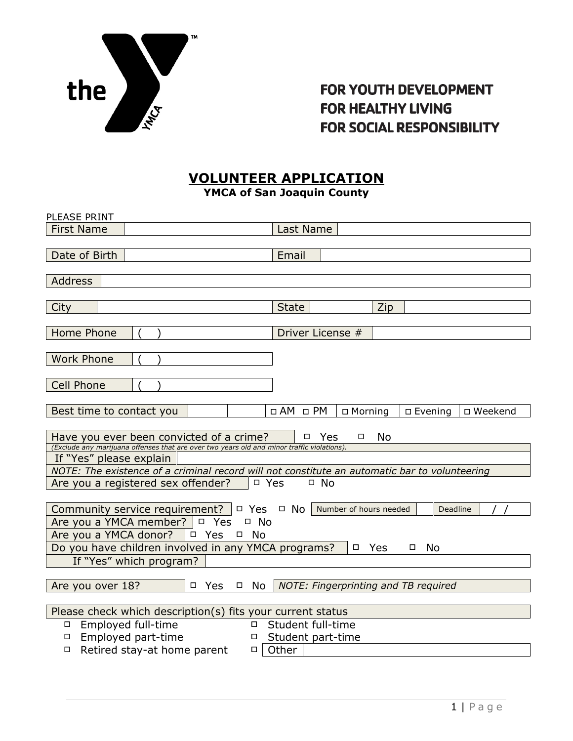

#### VOLUNTEER APPLICATION YMCA of San Joaquin County

| PLEASE PRINT                                                                                                          |                                                                    |  |  |  |
|-----------------------------------------------------------------------------------------------------------------------|--------------------------------------------------------------------|--|--|--|
| <b>First Name</b>                                                                                                     | Last Name                                                          |  |  |  |
|                                                                                                                       |                                                                    |  |  |  |
| Date of Birth                                                                                                         | Email                                                              |  |  |  |
|                                                                                                                       |                                                                    |  |  |  |
| Address                                                                                                               |                                                                    |  |  |  |
|                                                                                                                       |                                                                    |  |  |  |
| City                                                                                                                  | <b>State</b><br>Zip                                                |  |  |  |
|                                                                                                                       |                                                                    |  |  |  |
| <b>Home Phone</b>                                                                                                     | Driver License #                                                   |  |  |  |
|                                                                                                                       |                                                                    |  |  |  |
| <b>Work Phone</b>                                                                                                     |                                                                    |  |  |  |
|                                                                                                                       |                                                                    |  |  |  |
| <b>Cell Phone</b>                                                                                                     |                                                                    |  |  |  |
|                                                                                                                       |                                                                    |  |  |  |
|                                                                                                                       |                                                                    |  |  |  |
| Best time to contact you                                                                                              | $\Box$ AM $\Box$ PM<br>□ Morning<br>$\square$ Evening<br>□ Weekend |  |  |  |
|                                                                                                                       |                                                                    |  |  |  |
| Have you ever been convicted of a crime?                                                                              | No<br>$\Box$<br><b>Yes</b><br>$\Box$                               |  |  |  |
| (Exclude any marijuana offenses that are over two years old and minor traffic violations).<br>If "Yes" please explain |                                                                    |  |  |  |
| NOTE: The existence of a criminal record will not constitute an automatic bar to volunteering                         |                                                                    |  |  |  |
| Are you a registered sex offender?<br>$\neg$ Yes<br>$\Box$ No                                                         |                                                                    |  |  |  |
|                                                                                                                       |                                                                    |  |  |  |
| Community service requirement? $\Box$ Yes $\Box$ No $\Box$ Number of hours needed                                     | Deadline                                                           |  |  |  |
| Are you a YMCA member? $\Box$ Yes<br>$\Box$ No                                                                        |                                                                    |  |  |  |
| Are you a YMCA donor? $\Box$ Yes $\Box$ No                                                                            |                                                                    |  |  |  |
| Do you have children involved in any YMCA programs?                                                                   | Yes<br>$\Box$<br><b>No</b><br>$\Box$                               |  |  |  |
|                                                                                                                       |                                                                    |  |  |  |
| If "Yes" which program?                                                                                               |                                                                    |  |  |  |
|                                                                                                                       |                                                                    |  |  |  |
| Are you over 18?<br>□ Yes<br>$\Box$ No                                                                                | NOTE: Fingerprinting and TB required                               |  |  |  |
|                                                                                                                       |                                                                    |  |  |  |
| Please check which description(s) fits your current status                                                            |                                                                    |  |  |  |
| Employed full-time<br>Ω.                                                                                              | □ Student full-time                                                |  |  |  |
| Employed part-time<br>□ Student part-time<br>$\Box$                                                                   |                                                                    |  |  |  |
| Retired stay-at home parent<br>$\Box$<br>$\Box$                                                                       | Other                                                              |  |  |  |
|                                                                                                                       |                                                                    |  |  |  |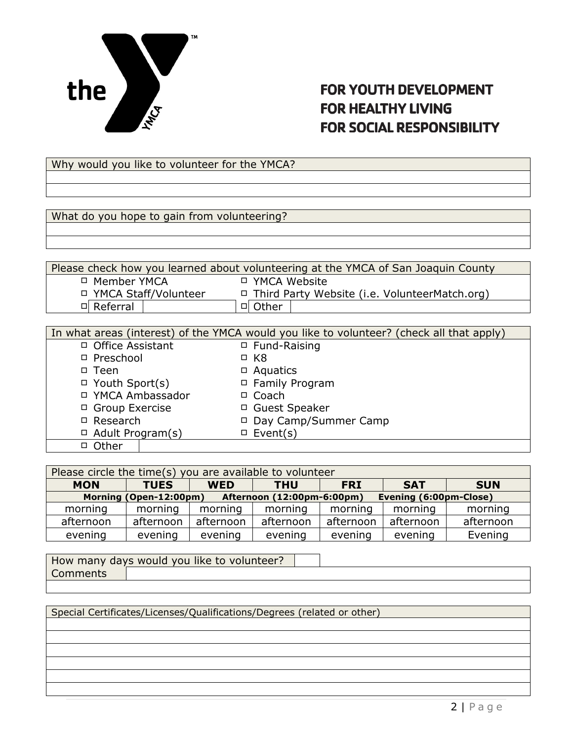

Why would you like to volunteer for the YMCA?

What do you hope to gain from volunteering?

Please check how you learned about volunteering at the YMCA of San Joaquin County Member YMCA YMCA Website YMCA Staff/Volunteer Third Party Website (i.e. VolunteerMatch.org) 미 Referral | 미 Other

|                         | In what areas (interest) of the YMCA would you like to volunteer? (check all that apply) |
|-------------------------|------------------------------------------------------------------------------------------|
| □ Office Assistant      | □ Fund-Raising                                                                           |
| $\Box$ Preschool        | $\Box$ K8                                                                                |
| $\Box$ Teen             | $\Box$ Aquatics                                                                          |
| $\Box$ Youth Sport(s)   | □ Family Program                                                                         |
| □ YMCA Ambassador       | $\Box$ Coach                                                                             |
| □ Group Exercise        | □ Guest Speaker                                                                          |
| $\Box$ Research         | □ Day Camp/Summer Camp                                                                   |
| $\Box$ Adult Program(s) | $\Box$ Event(s)                                                                          |
| $\Box$ Other            |                                                                                          |

| Please circle the time(s) you are available to volunteer                       |             |            |            |            |            |            |
|--------------------------------------------------------------------------------|-------------|------------|------------|------------|------------|------------|
| <b>MON</b>                                                                     | <b>TUES</b> | <b>WED</b> | <b>THU</b> | <b>FRI</b> | <b>SAT</b> | <b>SUN</b> |
| Morning (Open-12:00pm)<br>Evening (6:00pm-Close)<br>Afternoon (12:00pm-6:00pm) |             |            |            |            |            |            |
| morning                                                                        | morning     | morning    | morning    | morning    | morning    | morning    |
| afternoon                                                                      | afternoon   | afternoon  | afternoon  | afternoon  | afternoon  | afternoon  |
| evening                                                                        | evening     | evening    | evening    | evening    | evening    | Evening    |

How many days would you like to volunteer? **Comments** 

Special Certificates/Licenses/Qualifications/Degrees (related or other)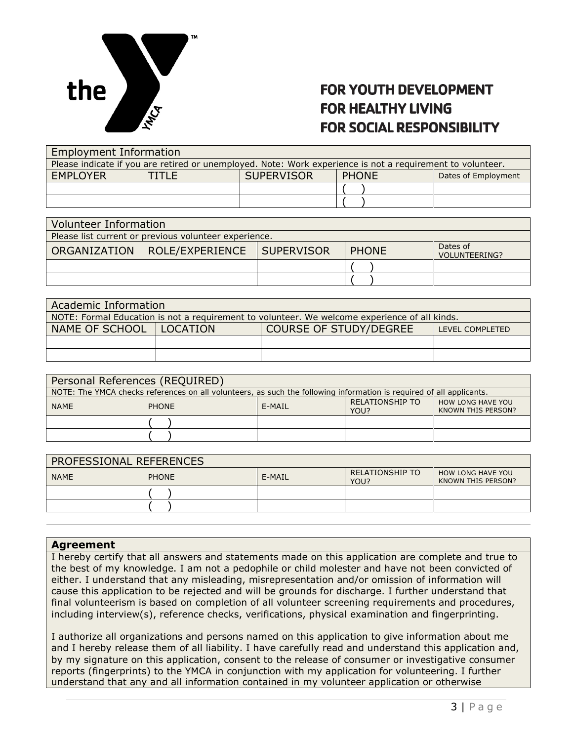

| <b>Employment Information</b>                                                                              |  |                   |              |                     |  |
|------------------------------------------------------------------------------------------------------------|--|-------------------|--------------|---------------------|--|
| Please indicate if you are retired or unemployed. Note: Work experience is not a requirement to volunteer. |  |                   |              |                     |  |
| <b>EMPLOYER</b>                                                                                            |  | <b>SUPERVISOR</b> | <b>PHONE</b> | Dates of Employment |  |
|                                                                                                            |  |                   |              |                     |  |
|                                                                                                            |  |                   |              |                     |  |

| Volunteer Information                                 |                                             |  |              |                           |  |
|-------------------------------------------------------|---------------------------------------------|--|--------------|---------------------------|--|
| Please list current or previous volunteer experience. |                                             |  |              |                           |  |
|                                                       | ORGANIZATION   ROLE/EXPERIENCE   SUPERVISOR |  | <b>PHONE</b> | Dates of<br>VOLUNTEERING? |  |
|                                                       |                                             |  |              |                           |  |
|                                                       |                                             |  |              |                           |  |

| Academic Information                                                                          |  |  |  |  |
|-----------------------------------------------------------------------------------------------|--|--|--|--|
| NOTE: Formal Education is not a requirement to volunteer. We welcome experience of all kinds. |  |  |  |  |
| COURSE OF STUDY/DEGREE<br>NAME OF SCHOOL   LOCATION<br>LEVEL COMPLETED                        |  |  |  |  |
|                                                                                               |  |  |  |  |
|                                                                                               |  |  |  |  |

| Personal References (REQUIRED) |                                                                                                                      |                                                                                            |  |  |  |
|--------------------------------|----------------------------------------------------------------------------------------------------------------------|--------------------------------------------------------------------------------------------|--|--|--|
|                                | NOTE: The YMCA checks references on all volunteers, as such the following information is required of all applicants. |                                                                                            |  |  |  |
| <b>NAME</b>                    | <b>PHONE</b>                                                                                                         | <b>RELATIONSHIP TO</b><br><b>HOW LONG HAVE YOU</b><br>E-MAIL<br>KNOWN THIS PERSON?<br>YOU? |  |  |  |
|                                |                                                                                                                      |                                                                                            |  |  |  |
|                                |                                                                                                                      |                                                                                            |  |  |  |

| PROFESSIONAL REFERENCES |              |        |                                |                                                |  |
|-------------------------|--------------|--------|--------------------------------|------------------------------------------------|--|
| <b>NAME</b>             | <b>PHONE</b> | E-MAIL | <b>RELATIONSHIP TO</b><br>YOU? | <b>HOW LONG HAVE YOU</b><br>KNOWN THIS PERSON? |  |
|                         |              |        |                                |                                                |  |
|                         |              |        |                                |                                                |  |

#### Agreement

I hereby certify that all answers and statements made on this application are complete and true to the best of my knowledge. I am not a pedophile or child molester and have not been convicted of either. I understand that any misleading, misrepresentation and/or omission of information will cause this application to be rejected and will be grounds for discharge. I further understand that final volunteerism is based on completion of all volunteer screening requirements and procedures, including interview(s), reference checks, verifications, physical examination and fingerprinting.

I authorize all organizations and persons named on this application to give information about me and I hereby release them of all liability. I have carefully read and understand this application and, by my signature on this application, consent to the release of consumer or investigative consumer reports (fingerprints) to the YMCA in conjunction with my application for volunteering. I further understand that any and all information contained in my volunteer application or otherwise